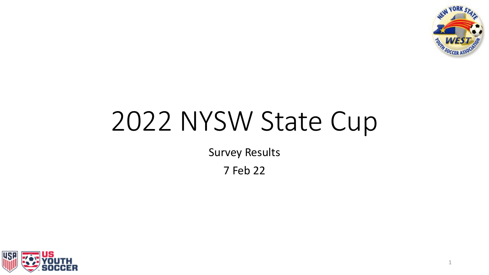

1

# 2022 NYSW State Cup

Survey Results

7 Feb 22

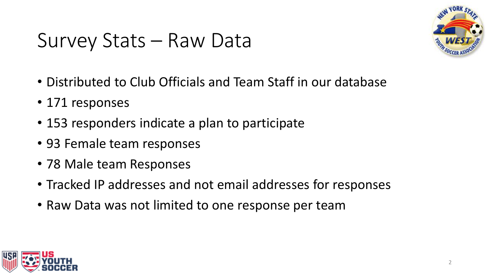### Survey Stats – Raw Data



- Distributed to Club Officials and Team Staff in our database
- 171 responses
- 153 responders indicate a plan to participate
- 93 Female team responses
- 78 Male team Responses
- Tracked IP addresses and not email addresses for responses
- Raw Data was not limited to one response per team

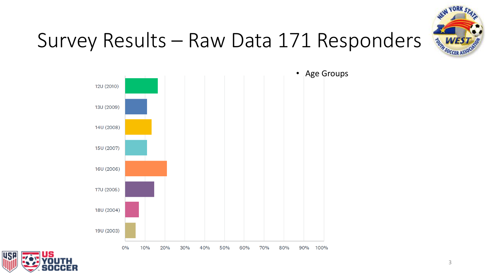

## Survey Results – Raw Data 171 Responders



• Age Groups

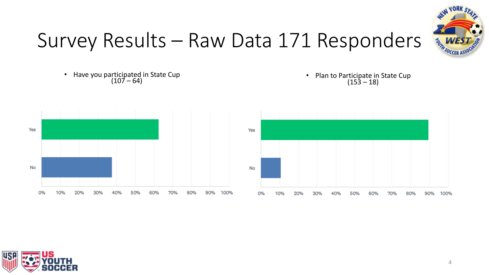

# Survey Results – Raw Data 171 Responders

• Have you participated in State Cup (107 – 64)







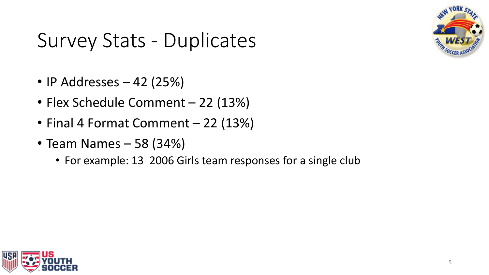

# Survey Stats - Duplicates

- IP Addresses  $-42$  (25%)
- Flex Schedule Comment 22 (13%)
- Final 4 Format Comment 22 (13%)
- Team Names 58 (34%)
	- For example: 13 2006 Girls team responses for a single club

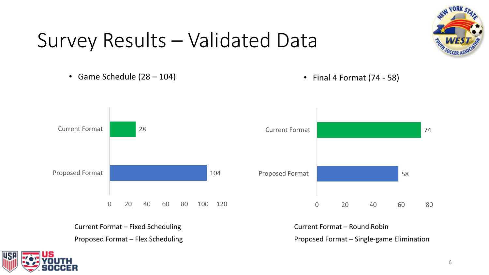#### Survey Results – Validated Data

• Game Schedule (28 – 104) • Final 4 Format (74 - 58)



Current Format – Fixed Scheduling Proposed Format – Flex Scheduling Current Format – Round Robin Proposed Format – Single-game Elimination

58

74



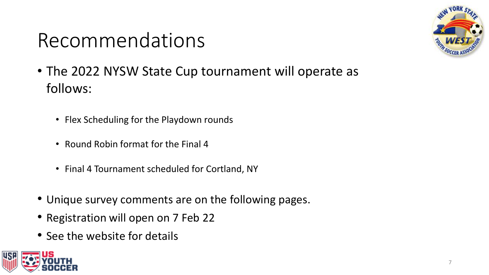# Recommendations



- The 2022 NYSW State Cup tournament will operate as follows:
	- Flex Scheduling for the Playdown rounds
	- Round Robin format for the Final 4
	- Final 4 Tournament scheduled for Cortland, NY
- Unique survey comments are on the following pages.
- Registration will open on 7 Feb 22
- See the website for details

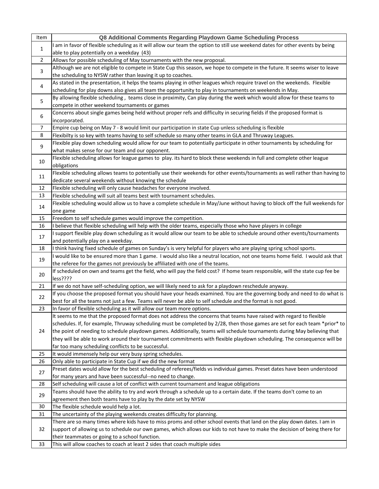| Item           | Q8 Additional Comments Regarding Playdown Game Scheduling Process                                                                                                                                                                                     |
|----------------|-------------------------------------------------------------------------------------------------------------------------------------------------------------------------------------------------------------------------------------------------------|
|                | I am in favor of flexible scheduling as it will allow our team the option to still use weekend dates for other events by being                                                                                                                        |
| $\mathbf{1}$   | able to play potentially on a weekday (43)                                                                                                                                                                                                            |
| $\overline{2}$ | Allows for possible scheduling of May tournaments with the new proposal.                                                                                                                                                                              |
| 3              | Although we are not eligible to compete in State Cup this season, we hope to compete in the future. It seems wiser to leave                                                                                                                           |
|                | the scheduling to NYSW rather than leaving it up to coaches.                                                                                                                                                                                          |
| 4              | As stated in the presentation, it helps the teams playing in other leagues which require travel on the weekends. Flexible                                                                                                                             |
|                | scheduling for play downs also gives all team the opportunity to play in tournaments on weekends in May.                                                                                                                                              |
| 5              | By allowing flexible scheduling, teams close in proximity, Can play during the week which would allow for these teams to                                                                                                                              |
|                | compete in other weekend tournaments or games                                                                                                                                                                                                         |
| 6              | Concerns about single games being held without proper refs and difficulty in securing fields if the proposed format is                                                                                                                                |
| $\overline{7}$ | incorporated.<br>Empire cup being on May 7 - 8 would limit our participation in state Cup unless scheduling is flexible                                                                                                                               |
| 8              | Flexibilty is so key with teams having to self schedule so many other teams in GLA and Thruway Leagues.                                                                                                                                               |
|                | Flexible play down scheduling would allow for our team to potentially participate in other tournaments by scheduling for                                                                                                                              |
| 9              | what makes sense for our team and our opponent.                                                                                                                                                                                                       |
|                | Flexible scheduling allows for league games to play. its hard to block these weekends in full and complete other league                                                                                                                               |
| 10             | obligations                                                                                                                                                                                                                                           |
|                | Flexible scheduling allows teams to potentially use their weekends for other events/tournaments as well rather than having to                                                                                                                         |
| 11             | dedicate several weekends without knowing the schedule                                                                                                                                                                                                |
| 12             | Flexible scheduling will only cause headaches for everyone involved.                                                                                                                                                                                  |
| 13             | Flexible scheduling will suit all teams best with tournament schedules.                                                                                                                                                                               |
| 14             | Flexible scheduling would allow us to have a complete schedule in May/June without having to block off the full weekends for                                                                                                                          |
|                | one game                                                                                                                                                                                                                                              |
| 15             | Freedom to self schedule games would improve the competition.                                                                                                                                                                                         |
| 16             | I believe that flexible scheduling will help with the older teams, especially those who have players in college                                                                                                                                       |
| 17             | I support flexible play down scheduling as it would allow our team to be able to schedule around other events/tournaments                                                                                                                             |
|                | and potentially play on a weekday.                                                                                                                                                                                                                    |
| 18             | I think having fixed schedule of games on Sunday's is very helpful for players who are playing spring school sports.<br>I would like to be ensured more than 1 game. I would also like a neutral location, not one teams home field. I would ask that |
| 19             | the referee for the games not previously be affiliated with one of the teams.                                                                                                                                                                         |
|                | If scheduled on own and teams get the field, who will pay the field cost? If home team responsible, will the state cup fee be                                                                                                                         |
| 20             | less????                                                                                                                                                                                                                                              |
| 21             | If we do not have self-scheduling option, we will likely need to ask for a playdown reschedule anyway.                                                                                                                                                |
| 22             | If you choose the proposed format you should have your heads examined. You are the governing body and need to do what is                                                                                                                              |
|                | best for all the teams not just a few. Teams will never be able to self schedule and the format is not good.                                                                                                                                          |
| 23             | In favor of flexible scheduling as it will allow our team more options.                                                                                                                                                                               |
|                | It seems to me that the proposed format does not address the concerns that teams have raised with regard to flexible                                                                                                                                  |
|                | schedules. If, for example, Thruway scheduling must be completed by 2/28, then those games are set for each team *prior* to                                                                                                                           |
| 24             | the point of needing to schedule playdown games. Additionally, teams will schedule tournaments during May believing that                                                                                                                              |
|                | they will be able to work around their tournament commitments with flexible playdown scheduling. The consequence will be                                                                                                                              |
|                | far too many scheduling conflicts to be successful.                                                                                                                                                                                                   |
| 25<br>26       | It would immensely help our very busy spring schedules.<br>Only able to participate in State Cup if we did the new format                                                                                                                             |
|                | Preset dates would allow for the best scheduling of referees/fields vs individual games. Preset dates have been understood                                                                                                                            |
| 27             | for many years and have been successful--no need to change.                                                                                                                                                                                           |
| 28             | Self scheduling will cause a lot of conflict with current tournament and league obligations                                                                                                                                                           |
|                | Teams should have the ability to try and work through a schedule up to a certain date. If the teams don't come to an                                                                                                                                  |
| 29             | agreement then both teams have to play by the date set by NYSW                                                                                                                                                                                        |
| 30             | The flexible schedule would help a lot.                                                                                                                                                                                                               |
| 31             | The uncertainty of the playing weekends creates difficulty for planning.                                                                                                                                                                              |
|                | There are so many times where kids have to miss proms and other school events that land on the play down dates. I am in                                                                                                                               |
| 32             | support of allowing us to schedule our own games, which allows our kids to not have to make the decision of being there for                                                                                                                           |
|                | their teammates or going to a school function.                                                                                                                                                                                                        |
| 33             | This will allow coaches to coach at least 2 sides that coach multiple sides                                                                                                                                                                           |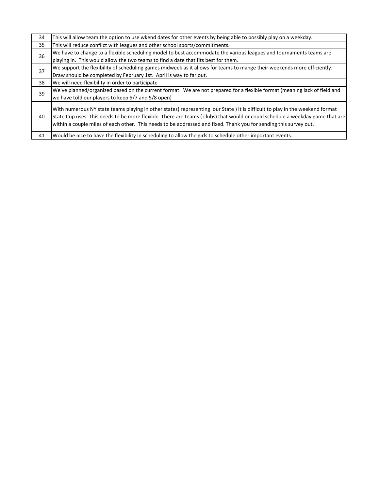| 34 | This will allow team the option to use wkend dates for other events by being able to possibly play on a weekday.                                                                                                                                                                                                                                                                 |
|----|----------------------------------------------------------------------------------------------------------------------------------------------------------------------------------------------------------------------------------------------------------------------------------------------------------------------------------------------------------------------------------|
| 35 | This will reduce conflict with leagues and other school sports/commitments.                                                                                                                                                                                                                                                                                                      |
| 36 | We have to change to a flexible scheduling model to best accommodate the various leagues and tournaments teams are                                                                                                                                                                                                                                                               |
|    | playing in. This would allow the two teams to find a date that fits best for them.                                                                                                                                                                                                                                                                                               |
| 37 | We support the flexibility of scheduling games midweek as it allows for teams to mange their weekends more efficiently.                                                                                                                                                                                                                                                          |
|    | Draw should be completed by February 1st. April is way to far out.                                                                                                                                                                                                                                                                                                               |
| 38 | We will need flexibility in order to participate                                                                                                                                                                                                                                                                                                                                 |
|    |                                                                                                                                                                                                                                                                                                                                                                                  |
|    | We've planned/organized based on the current format. We are not prepared for a flexible format (meaning lack of field and                                                                                                                                                                                                                                                        |
| 39 | we have told our players to keep 5/7 and 5/8 open)                                                                                                                                                                                                                                                                                                                               |
| 40 | With numerous NY state teams playing in other states (representing our State) it is difficult to play in the weekend format<br>State Cup uses. This needs to be more flexible. There are teams (clubs) that would or could schedule a weekday game that are<br>within a couple miles of each other. This needs to be addressed and fixed. Thank you for sending this survey out. |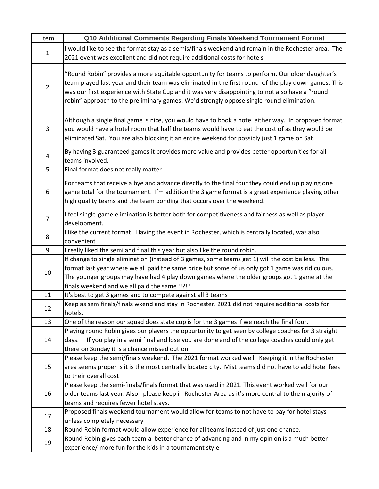| Item           | Q10 Additional Comments Regarding Finals Weekend Tournament Format                                                                                                                                                                                                                                                                                                                                   |
|----------------|------------------------------------------------------------------------------------------------------------------------------------------------------------------------------------------------------------------------------------------------------------------------------------------------------------------------------------------------------------------------------------------------------|
|                | I would like to see the format stay as a semis/finals weekend and remain in the Rochester area. The                                                                                                                                                                                                                                                                                                  |
| 1              | 2021 event was excellent and did not require additional costs for hotels                                                                                                                                                                                                                                                                                                                             |
| $\overline{2}$ | "Round Robin" provides a more equitable opportunity for teams to perform. Our older daughter's<br>team played last year and their team was eliminated in the first round of the play down games. This<br>was our first experience with State Cup and it was very disappointing to not also have a "round<br>robin" approach to the preliminary games. We'd strongly oppose single round elimination. |
| 3              | Although a single final game is nice, you would have to book a hotel either way. In proposed format<br>you would have a hotel room that half the teams would have to eat the cost of as they would be<br>eliminated Sat. You are also blocking it an entire weekend for possibly just 1 game on Sat.                                                                                                 |
| 4              | By having 3 guaranteed games it provides more value and provides better opportunities for all<br>teams involved.                                                                                                                                                                                                                                                                                     |
| 5              | Final format does not really matter                                                                                                                                                                                                                                                                                                                                                                  |
| 6              | For teams that receive a bye and advance directly to the final four they could end up playing one<br>game total for the tournament. I'm addition the 3 game format is a great experience playing other<br>high quality teams and the team bonding that occurs over the weekend.                                                                                                                      |
| $\overline{7}$ | I feel single-game elimination is better both for competitiveness and fairness as well as player<br>development.                                                                                                                                                                                                                                                                                     |
| 8              | I like the current format. Having the event in Rochester, which is centrally located, was also<br>convenient                                                                                                                                                                                                                                                                                         |
| 9              | I really liked the semi and final this year but also like the round robin.                                                                                                                                                                                                                                                                                                                           |
|                | If change to single elimination (instead of 3 games, some teams get 1) will the cost be less. The                                                                                                                                                                                                                                                                                                    |
| 10             | format last year where we all paid the same price but some of us only got 1 game was ridiculous.                                                                                                                                                                                                                                                                                                     |
|                | The younger groups may have had 4 play down games where the older groups got 1 game at the                                                                                                                                                                                                                                                                                                           |
|                | finals weekend and we all paid the same?!?!?                                                                                                                                                                                                                                                                                                                                                         |
| 11             | It's best to get 3 games and to compete against all 3 teams                                                                                                                                                                                                                                                                                                                                          |
| 12             | Keep as semifinals/finals wkend and stay in Rochester. 2021 did not require additional costs for<br>hotels.                                                                                                                                                                                                                                                                                          |
| 13             | One of the reason our squad does state cup is for the 3 games if we reach the final four.                                                                                                                                                                                                                                                                                                            |
|                | Playing round Robin gives our players the oppurtunity to get seen by college coaches for 3 straight                                                                                                                                                                                                                                                                                                  |
| 14             | If you play in a semi final and lose you are done and of the college coaches could only get<br>days.                                                                                                                                                                                                                                                                                                 |
|                | there on Sunday it is a chance missed out on.                                                                                                                                                                                                                                                                                                                                                        |
|                | Please keep the semi/finals weekend. The 2021 format worked well. Keeping it in the Rochester                                                                                                                                                                                                                                                                                                        |
| 15             | area seems proper is it is the most centrally located city. Mist teams did not have to add hotel fees<br>to their overall cost                                                                                                                                                                                                                                                                       |
|                | Please keep the semi-finals/finals format that was used in 2021. This event worked well for our                                                                                                                                                                                                                                                                                                      |
| 16             | older teams last year. Also - please keep in Rochester Area as it's more central to the majority of                                                                                                                                                                                                                                                                                                  |
|                | teams and requires fewer hotel stays.                                                                                                                                                                                                                                                                                                                                                                |
|                | Proposed finals weekend tournament would allow for teams to not have to pay for hotel stays                                                                                                                                                                                                                                                                                                          |
| 17             | unless completely necessary                                                                                                                                                                                                                                                                                                                                                                          |
| 18             | Round Robin format would allow experience for all teams instead of just one chance.                                                                                                                                                                                                                                                                                                                  |
|                | Round Robin gives each team a better chance of advancing and in my opinion is a much better                                                                                                                                                                                                                                                                                                          |
| 19             | experience/ more fun for the kids in a tournament style                                                                                                                                                                                                                                                                                                                                              |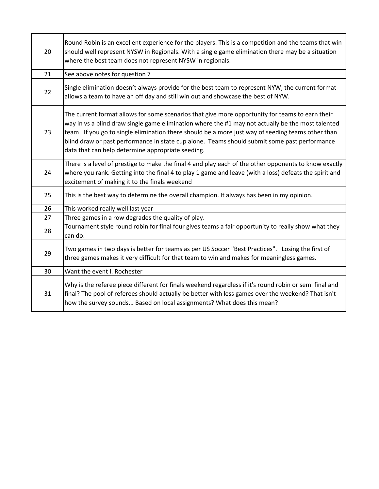| 20 | Round Robin is an excellent experience for the players. This is a competition and the teams that win<br>should well represent NYSW in Regionals. With a single game elimination there may be a situation<br>where the best team does not represent NYSW in regionals.                                                                                                                                                                                          |
|----|----------------------------------------------------------------------------------------------------------------------------------------------------------------------------------------------------------------------------------------------------------------------------------------------------------------------------------------------------------------------------------------------------------------------------------------------------------------|
| 21 | See above notes for question 7                                                                                                                                                                                                                                                                                                                                                                                                                                 |
| 22 | Single elimination doesn't always provide for the best team to represent NYW, the current format<br>allows a team to have an off day and still win out and showcase the best of NYW.                                                                                                                                                                                                                                                                           |
| 23 | The current format allows for some scenarios that give more opportunity for teams to earn their<br>way in vs a blind draw single game elimination where the #1 may not actually be the most talented<br>team. If you go to single elimination there should be a more just way of seeding teams other than<br>blind draw or past performance in state cup alone. Teams should submit some past performance<br>data that can help determine appropriate seeding. |
| 24 | There is a level of prestige to make the final 4 and play each of the other opponents to know exactly<br>where you rank. Getting into the final 4 to play 1 game and leave (with a loss) defeats the spirit and<br>excitement of making it to the finals weekend                                                                                                                                                                                               |
| 25 | This is the best way to determine the overall champion. It always has been in my opinion.                                                                                                                                                                                                                                                                                                                                                                      |
| 26 | This worked really well last year                                                                                                                                                                                                                                                                                                                                                                                                                              |
| 27 | Three games in a row degrades the quality of play.                                                                                                                                                                                                                                                                                                                                                                                                             |
| 28 | Tournament style round robin for final four gives teams a fair opportunity to really show what they<br>can do.                                                                                                                                                                                                                                                                                                                                                 |
| 29 | Two games in two days is better for teams as per US Soccer "Best Practices". Losing the first of<br>three games makes it very difficult for that team to win and makes for meaningless games.                                                                                                                                                                                                                                                                  |
| 30 | Want the event I. Rochester                                                                                                                                                                                                                                                                                                                                                                                                                                    |
| 31 | Why is the referee piece different for finals weekend regardless if it's round robin or semi final and<br>final? The pool of referees should actually be better with less games over the weekend? That isn't<br>how the survey sounds Based on local assignments? What does this mean?                                                                                                                                                                         |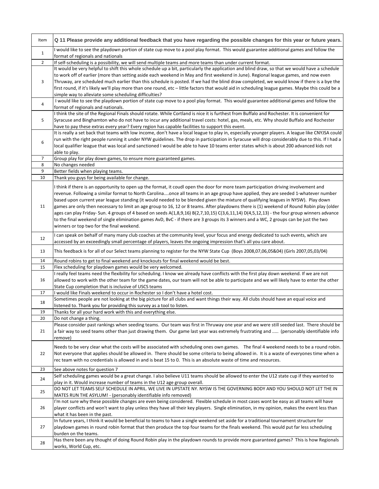| Item           | Q 11 Please provide any additional feedback that you have regarding the possible changes for this year or future years.                                                                                                                                                                                                                                                                                                                                                                                                                                                                                                                                                                                                                                                                                                                                                                              |
|----------------|------------------------------------------------------------------------------------------------------------------------------------------------------------------------------------------------------------------------------------------------------------------------------------------------------------------------------------------------------------------------------------------------------------------------------------------------------------------------------------------------------------------------------------------------------------------------------------------------------------------------------------------------------------------------------------------------------------------------------------------------------------------------------------------------------------------------------------------------------------------------------------------------------|
| $\mathbf{1}$   | I would like to see the playdown portion of state cup move to a pool play format. This would guarantee additional games and follow the<br>format of regionals and nationals                                                                                                                                                                                                                                                                                                                                                                                                                                                                                                                                                                                                                                                                                                                          |
| $\overline{2}$ | If self-scheduling is a possibility, we will send multiple teams and more teams than under current format.                                                                                                                                                                                                                                                                                                                                                                                                                                                                                                                                                                                                                                                                                                                                                                                           |
|                | It would be very helpful to shift this whole schedule up a bit, particularly the application and blind draw, so that we would have a schedule                                                                                                                                                                                                                                                                                                                                                                                                                                                                                                                                                                                                                                                                                                                                                        |
| 3              | to work off of earlier (more than setting aside each weekend in May and first weekend in June). Regional league games, and now even<br>Thruway, are scheduled much earlier than this schedule is posted. If we had the blind draw completed, we would know if there is a bye the<br>first round, if it's likely we'll play more than one round, etc - little factors that would aid in scheduling league games. Maybe this could be a<br>simple way to alleviate some scheduling difficulties?                                                                                                                                                                                                                                                                                                                                                                                                       |
|                | I would like to see the playdown portion of state cup move to a pool play format. This would guarantee additional games and follow the                                                                                                                                                                                                                                                                                                                                                                                                                                                                                                                                                                                                                                                                                                                                                               |
| 4              | format of regionals and nationals.                                                                                                                                                                                                                                                                                                                                                                                                                                                                                                                                                                                                                                                                                                                                                                                                                                                                   |
| 5              | I think the site of the Regional Finals should rotate. While Cortland is nice it is furthest from Buffalo and Rochester. It is convenient for<br>Syracuse and Binghamton who do not have to incur any additional travel costs: hotel, gas, meals, etc. Why should Buffalo and Rochester<br>have to pay these extras every year? Every region has capable facilities to support this event.                                                                                                                                                                                                                                                                                                                                                                                                                                                                                                           |
| 6              | It is really a set back that teams with low income, don't have a local league to play in, especially younger players. A league like CNYJSA could<br>run with the right people running it under NYW guidelines. The drop in participation in Syracuse will drop considerably due to this. If I had a<br>local qualifier league that was local and sanctioned I would be able to have 10 teams enter states which is about 200 advanced kids not<br>able to play.                                                                                                                                                                                                                                                                                                                                                                                                                                      |
| 7              | Group play for play down games, to ensure more guaranteed games.                                                                                                                                                                                                                                                                                                                                                                                                                                                                                                                                                                                                                                                                                                                                                                                                                                     |
| 8              | No changes needed                                                                                                                                                                                                                                                                                                                                                                                                                                                                                                                                                                                                                                                                                                                                                                                                                                                                                    |
| 9              | Better fields when playing teams.                                                                                                                                                                                                                                                                                                                                                                                                                                                                                                                                                                                                                                                                                                                                                                                                                                                                    |
| 10             | Thank you guys for being available for change.                                                                                                                                                                                                                                                                                                                                                                                                                                                                                                                                                                                                                                                                                                                                                                                                                                                       |
| 11             | I think if there is an opportunity to open up the format, it coudl open the door for more team participation driving involvement and<br>revenue. Following a similar format to North Carolinaonce all teams in an age group have applied, they are seeded 1-whatever number<br>based upon current year league standing (it would needed to be blended given the mixture of qualifying leagues in NYSW). Play down<br>games are only then necessary to limit an age group to 16, 12 or 8 teams. After playdowns there is (1) weekend of Round Robin play (older<br>ages can play Friday- Sun. 4 groups of 4 based on seeds A(1,8,9,16) B(2,7,10,15) C(3,6,11,14) D(4,5,12,13) - the four group winners advance<br>to the final weekend of single elimination games AvD, BvC - if there are 3 groups its 3 winners and a WC, 2 groups can be just the two<br>winners or top two for the final weekend. |
| 12             | I can speak on behalf of many many club coaches at the community level, your focus and energy dedicated to such events, which are<br>accessed by an exceedingly small percentage of players, leaves the ongoing impression that's all you care about.                                                                                                                                                                                                                                                                                                                                                                                                                                                                                                                                                                                                                                                |
| 13             | This feedback is for all of our Select teams planning to register for the NYW State Cup (Boys 2008,07,06,05&04) (Girls 2007,05,03/04)                                                                                                                                                                                                                                                                                                                                                                                                                                                                                                                                                                                                                                                                                                                                                                |
| 14             | Round robins to get to final weekend and knockouts for final weekend would be best.                                                                                                                                                                                                                                                                                                                                                                                                                                                                                                                                                                                                                                                                                                                                                                                                                  |
| 15             | Flex scheduling for playdown games would be very welcomed.                                                                                                                                                                                                                                                                                                                                                                                                                                                                                                                                                                                                                                                                                                                                                                                                                                           |
| 16             | I really feel teams need the flexibility for scheduling. I know we already have conflicts with the first play down weekend. If we are not<br>allowed to work with the other team for the game dates, our team will not be able to participate and we will likely have to enter the other<br>State Cup completion that is inclusive of USCS teams                                                                                                                                                                                                                                                                                                                                                                                                                                                                                                                                                     |
| 17             | I would like Finals weekend to occur in Rochester so I don't have a hotel cost.                                                                                                                                                                                                                                                                                                                                                                                                                                                                                                                                                                                                                                                                                                                                                                                                                      |
| 18             | Sometimes people are not looking at the big picture for all clubs and want things their way. All clubs should have an equal voice and<br>listened to. Thank you for providing this survey as a tool to listen.                                                                                                                                                                                                                                                                                                                                                                                                                                                                                                                                                                                                                                                                                       |
|                |                                                                                                                                                                                                                                                                                                                                                                                                                                                                                                                                                                                                                                                                                                                                                                                                                                                                                                      |
| 19<br>20       | Thanks for all your hard work with this and everything else.<br>Do not change a thing.                                                                                                                                                                                                                                                                                                                                                                                                                                                                                                                                                                                                                                                                                                                                                                                                               |
|                | Please consider past rankings when seeding teams. Our team was first in Thruway one year and we were still seeded last. There should be                                                                                                                                                                                                                                                                                                                                                                                                                                                                                                                                                                                                                                                                                                                                                              |
| 21             | a fair way to seed teams other than just drawing them. Our game last year was extremely frustrating and  (personably identifiable info<br>remove)                                                                                                                                                                                                                                                                                                                                                                                                                                                                                                                                                                                                                                                                                                                                                    |
| 22             | Needs to be very clear what the costs will be associated with scheduling ones own games. The final 4 weekend needs to be a round robin.<br>Not everyone that applies should be allowed in. There should be some criteria to being allowed in. It is a waste of everyones time when a<br>rec team with no credentials is allowed in and is beat 15 to 0. This is an absolute waste of time and resources.                                                                                                                                                                                                                                                                                                                                                                                                                                                                                             |
| 23             | See above notes for question 7                                                                                                                                                                                                                                                                                                                                                                                                                                                                                                                                                                                                                                                                                                                                                                                                                                                                       |
| 24             | Self scheduling games would be a great change. I also believe U11 teams should be allowed to enter the U12 state cup if they wanted to<br>play in it. Would increase number of teams in the U12 age group overall.                                                                                                                                                                                                                                                                                                                                                                                                                                                                                                                                                                                                                                                                                   |
| 25             | DO NOT LET TEAMS SELF SCHEDULE IN APRIL. WE LIVE IN UPSTATE NY. NYSW IS THE GOVERNING BODY AND YOU SHOULD NOT LET THE IN<br>MATES RUN THE ASYLUM! - (personably identifiable info removed)                                                                                                                                                                                                                                                                                                                                                                                                                                                                                                                                                                                                                                                                                                           |
| 26             | I'm not sure why these possible changes are even being considered. Flexible schedule in most cases wont be easy as all teams will have<br>player conflicts and won't want to play unless they have all their key players. Single elimination, in my opinion, makes the event less than<br>what it has been in the past.                                                                                                                                                                                                                                                                                                                                                                                                                                                                                                                                                                              |
| 27             | In future years, I think it would be beneficial to teams to have a single weekend set aside for a traditional tournament structure for<br>playdown games in round robin format that then produce the top four teams for the finals weekend. This would put far less scheduling<br>burden on the teams.                                                                                                                                                                                                                                                                                                                                                                                                                                                                                                                                                                                               |
| 28             | Has there been any thought of doing Round Robin play in the playdown rounds to provide more guaranteed games? This is how Regionals<br>works, World Cup, etc.                                                                                                                                                                                                                                                                                                                                                                                                                                                                                                                                                                                                                                                                                                                                        |